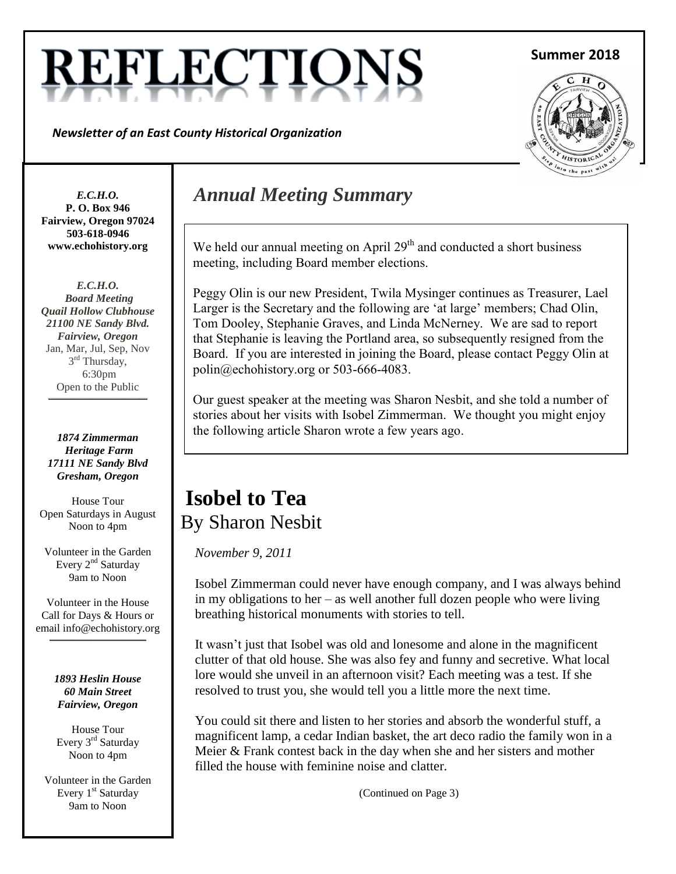# **REFLECTI**

*Newsletter of an East County Historical Organization*

#### **Summer 2018**



*E.C.H.O.* **P. O. Box 946 Fairview, Oregon 97024 503-618-0946 www.echohistory.org**

*E.C.H.O. Board Meeting Quail Hollow Clubhouse 21100 NE Sandy Blvd. Fairview, Oregon* Jan, Mar, Jul, Sep, Nov 3<sup>rd</sup> Thursday, 6:30pm Open to the Public

**\_\_\_\_\_\_\_\_\_\_\_\_\_\_\_\_\_\_\_\_\_\_\_\_\_\_\_\_\_\_\_\_\_\_\_\_**

*1874 Zimmerman Heritage Farm 17111 NE Sandy Blvd Gresham, Oregon*

House Tour Open Saturdays in August Noon to 4pm

Volunteer in the Garden Every 2<sup>nd</sup> Saturday 9am to Noon

Volunteer in the House Call for Days & Hours or email info@echohistory.org

**\_\_\_\_\_\_\_\_\_\_\_\_\_\_\_\_\_\_\_\_\_\_\_\_\_\_\_\_\_\_\_\_\_\_\_**

*1893 Heslin House 60 Main Street Fairview, Oregon*

House Tour Every 3<sup>rd</sup> Saturday Noon to 4pm

Volunteer in the Garden Every 1<sup>st</sup> Saturday 9am to Noon

### *Annual Meeting Summary*

We held our annual meeting on April  $29<sup>th</sup>$  and conducted a short business meeting, including Board member elections.

Peggy Olin is our new President, Twila Mysinger continues as Treasurer, Lael Larger is the Secretary and the following are 'at large' members; Chad Olin, Tom Dooley, Stephanie Graves, and Linda McNerney. We are sad to report that Stephanie is leaving the Portland area, so subsequently resigned from the Board. If you are interested in joining the Board, please contact Peggy Olin at polin@echohistory.org or 503-666-4083.

Our guest speaker at the meeting was Sharon Nesbit, and she told a number of stories about her visits with Isobel Zimmerman. We thought you might enjoy the following article Sharon wrote a few years ago.

### **Isobel to Tea** By Sharon Nesbit

*November 9, 2011*

Isobel Zimmerman could never have enough company, and I was always behind in my obligations to her – as well another full dozen people who were living breathing historical monuments with stories to tell.

It wasn't just that Isobel was old and lonesome and alone in the magnificent clutter of that old house. She was also fey and funny and secretive. What local lore would she unveil in an afternoon visit? Each meeting was a test. If she resolved to trust you, she would tell you a little more the next time.

You could sit there and listen to her stories and absorb the wonderful stuff, a magnificent lamp, a cedar Indian basket, the art deco radio the family won in a Meier & Frank contest back in the day when she and her sisters and mother filled the house with feminine noise and clatter.

(Continued on Page 3)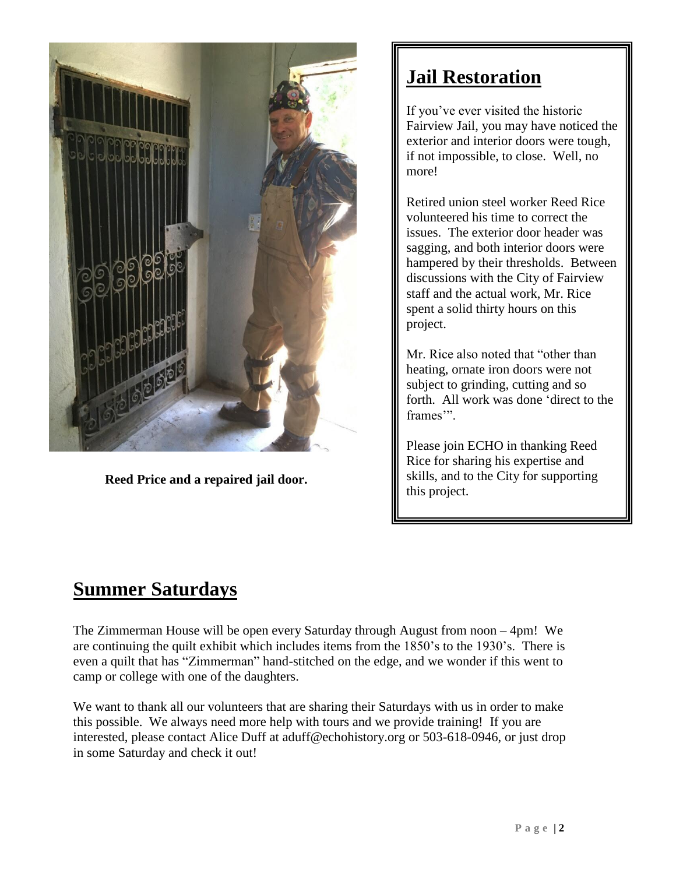

**Reed Price and a repaired jail door.**

## **Jail Restoration**

If you've ever visited the historic Fairview Jail, you may have noticed the exterior and interior doors were tough, if not impossible, to close. Well, no more!

Retired union steel worker Reed Rice volunteered his time to correct the issues. The exterior door header was sagging, and both interior doors were hampered by their thresholds. Between discussions with the City of Fairview staff and the actual work, Mr. Rice spent a solid thirty hours on this project.

Mr. Rice also noted that "other than heating, ornate iron doors were not subject to grinding, cutting and so forth. All work was done 'direct to the frames'".

Please join ECHO in thanking Reed Rice for sharing his expertise and skills, and to the City for supporting this project.

#### **Summer Saturdays**

The Zimmerman House will be open every Saturday through August from noon – 4pm! We are continuing the quilt exhibit which includes items from the 1850's to the 1930's. There is even a quilt that has "Zimmerman" hand-stitched on the edge, and we wonder if this went to camp or college with one of the daughters.

We want to thank all our volunteers that are sharing their Saturdays with us in order to make this possible. We always need more help with tours and we provide training! If you are interested, please contact Alice Duff at aduff@echohistory.org or 503-618-0946, or just drop in some Saturday and check it out!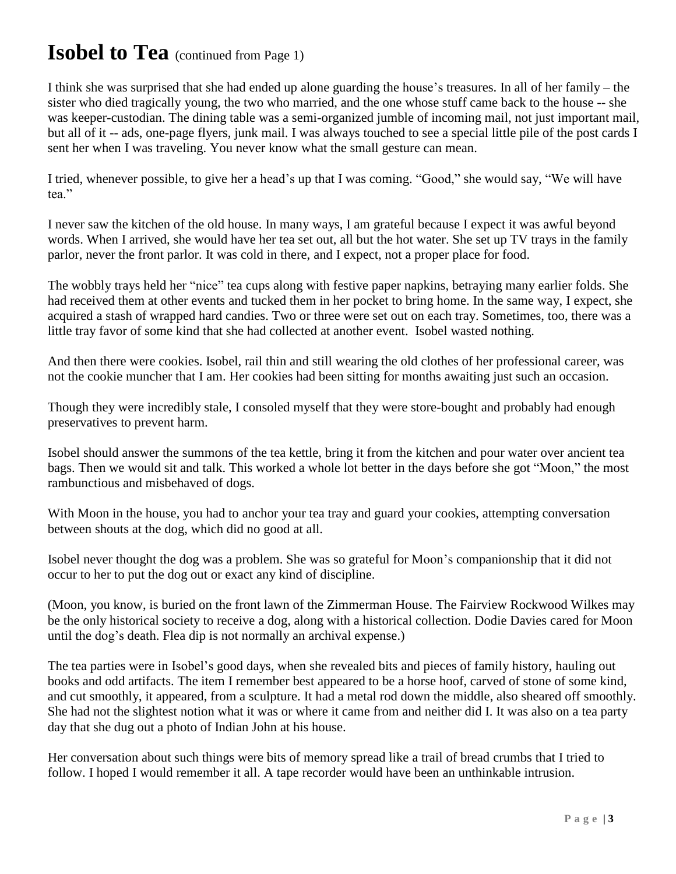## **Isobel to Tea** (continued from Page 1)

I think she was surprised that she had ended up alone guarding the house's treasures. In all of her family – the sister who died tragically young, the two who married, and the one whose stuff came back to the house -- she was keeper-custodian. The dining table was a semi-organized jumble of incoming mail, not just important mail, but all of it -- ads, one-page flyers, junk mail. I was always touched to see a special little pile of the post cards I sent her when I was traveling. You never know what the small gesture can mean.

I tried, whenever possible, to give her a head's up that I was coming. "Good," she would say, "We will have tea."

I never saw the kitchen of the old house. In many ways, I am grateful because I expect it was awful beyond words. When I arrived, she would have her tea set out, all but the hot water. She set up TV trays in the family parlor, never the front parlor. It was cold in there, and I expect, not a proper place for food.

The wobbly trays held her "nice" tea cups along with festive paper napkins, betraying many earlier folds. She had received them at other events and tucked them in her pocket to bring home. In the same way, I expect, she acquired a stash of wrapped hard candies. Two or three were set out on each tray. Sometimes, too, there was a little tray favor of some kind that she had collected at another event. Isobel wasted nothing.

And then there were cookies. Isobel, rail thin and still wearing the old clothes of her professional career, was not the cookie muncher that I am. Her cookies had been sitting for months awaiting just such an occasion.

Though they were incredibly stale, I consoled myself that they were store-bought and probably had enough preservatives to prevent harm.

Isobel should answer the summons of the tea kettle, bring it from the kitchen and pour water over ancient tea bags. Then we would sit and talk. This worked a whole lot better in the days before she got "Moon," the most rambunctious and misbehaved of dogs.

With Moon in the house, you had to anchor your tea tray and guard your cookies, attempting conversation between shouts at the dog, which did no good at all.

Isobel never thought the dog was a problem. She was so grateful for Moon's companionship that it did not occur to her to put the dog out or exact any kind of discipline.

(Moon, you know, is buried on the front lawn of the Zimmerman House. The Fairview Rockwood Wilkes may be the only historical society to receive a dog, along with a historical collection. Dodie Davies cared for Moon until the dog's death. Flea dip is not normally an archival expense.)

The tea parties were in Isobel's good days, when she revealed bits and pieces of family history, hauling out books and odd artifacts. The item I remember best appeared to be a horse hoof, carved of stone of some kind, and cut smoothly, it appeared, from a sculpture. It had a metal rod down the middle, also sheared off smoothly. She had not the slightest notion what it was or where it came from and neither did I. It was also on a tea party day that she dug out a photo of Indian John at his house.

Her conversation about such things were bits of memory spread like a trail of bread crumbs that I tried to follow. I hoped I would remember it all. A tape recorder would have been an unthinkable intrusion.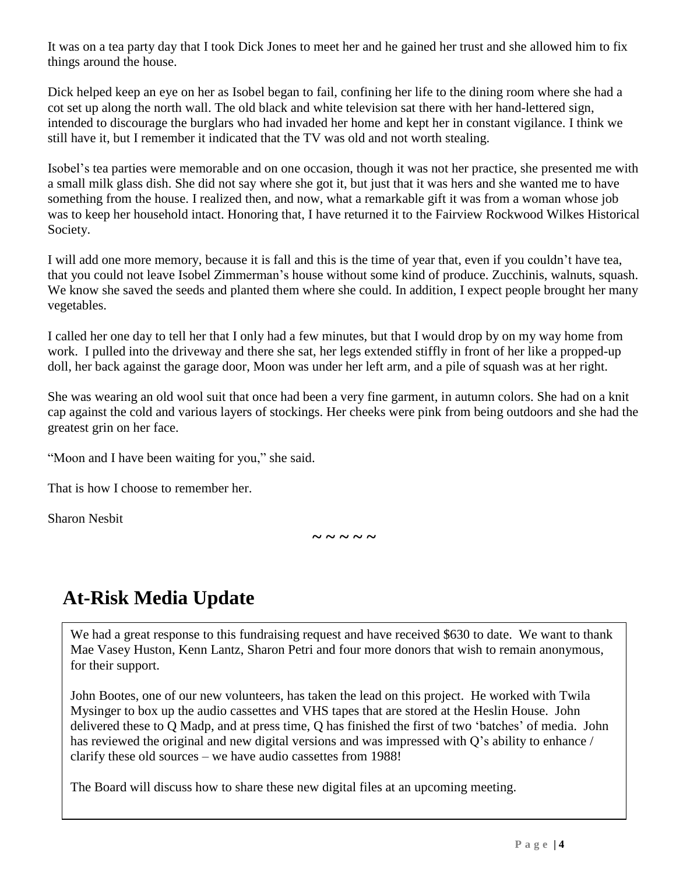It was on a tea party day that I took Dick Jones to meet her and he gained her trust and she allowed him to fix things around the house.

Dick helped keep an eye on her as Isobel began to fail, confining her life to the dining room where she had a cot set up along the north wall. The old black and white television sat there with her hand-lettered sign, intended to discourage the burglars who had invaded her home and kept her in constant vigilance. I think we still have it, but I remember it indicated that the TV was old and not worth stealing.

Isobel's tea parties were memorable and on one occasion, though it was not her practice, she presented me with a small milk glass dish. She did not say where she got it, but just that it was hers and she wanted me to have something from the house. I realized then, and now, what a remarkable gift it was from a woman whose job was to keep her household intact. Honoring that, I have returned it to the Fairview Rockwood Wilkes Historical Society.

I will add one more memory, because it is fall and this is the time of year that, even if you couldn't have tea, that you could not leave Isobel Zimmerman's house without some kind of produce. Zucchinis, walnuts, squash. We know she saved the seeds and planted them where she could. In addition, I expect people brought her many vegetables.

I called her one day to tell her that I only had a few minutes, but that I would drop by on my way home from work. I pulled into the driveway and there she sat, her legs extended stiffly in front of her like a propped-up doll, her back against the garage door, Moon was under her left arm, and a pile of squash was at her right.

She was wearing an old wool suit that once had been a very fine garment, in autumn colors. She had on a knit cap against the cold and various layers of stockings. Her cheeks were pink from being outdoors and she had the greatest grin on her face.

"Moon and I have been waiting for you," she said.

That is how I choose to remember her.

Sharon Nesbit

**~ ~ ~ ~ ~**

### **At-Risk Media Update**

We had a great response to this fundraising request and have received \$630 to date. We want to thank Mae Vasey Huston, Kenn Lantz, Sharon Petri and four more donors that wish to remain anonymous, for their support.

John Bootes, one of our new volunteers, has taken the lead on this project. He worked with Twila Mysinger to box up the audio cassettes and VHS tapes that are stored at the Heslin House. John delivered these to Q Madp, and at press time, Q has finished the first of two 'batches' of media. John has reviewed the original and new digital versions and was impressed with Q's ability to enhance / clarify these old sources – we have audio cassettes from 1988!

The Board will discuss how to share these new digital files at an upcoming meeting.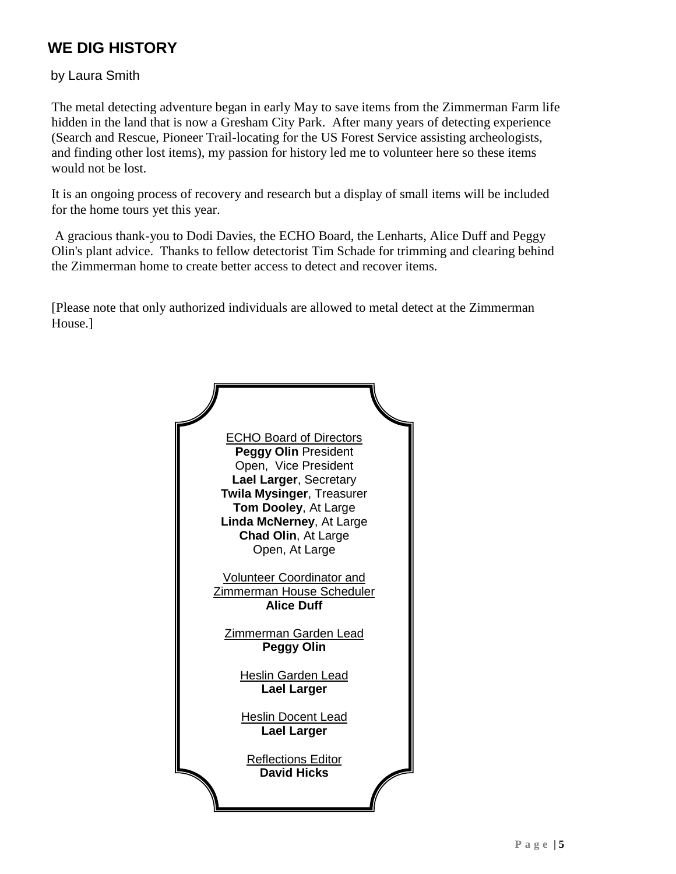#### **WE DIG HISTORY**

#### by Laura Smith

The metal detecting adventure began in early May to save items from the Zimmerman Farm life hidden in the land that is now a Gresham City Park. After many years of detecting experience (Search and Rescue, Pioneer Trail-locating for the US Forest Service assisting archeologists, and finding other lost items), my passion for history led me to volunteer here so these items would not be lost.

It is an ongoing process of recovery and research but a display of small items will be included for the home tours yet this year.

A gracious thank-you to Dodi Davies, the ECHO Board, the Lenharts, Alice Duff and Peggy Olin's plant advice. Thanks to fellow detectorist Tim Schade for trimming and clearing behind the Zimmerman home to create better access to detect and recover items.

[Please note that only authorized individuals are allowed to metal detect at the Zimmerman House.]